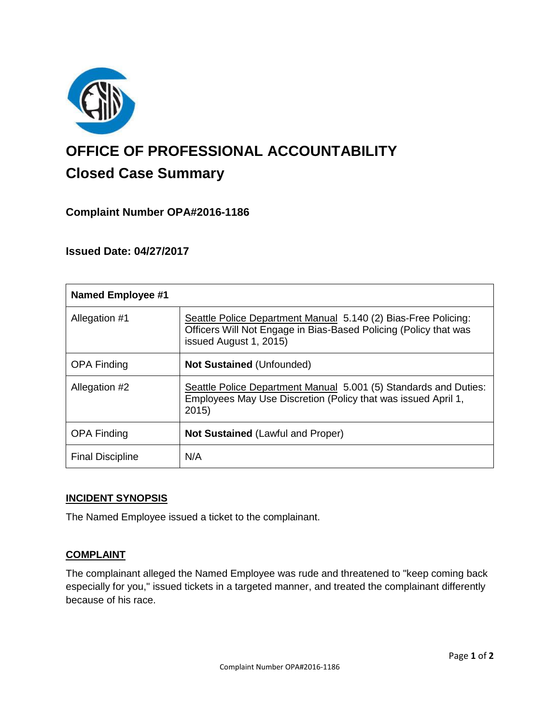

# **OFFICE OF PROFESSIONAL ACCOUNTABILITY Closed Case Summary**

# **Complaint Number OPA#2016-1186**

## **Issued Date: 04/27/2017**

| <b>Named Employee #1</b> |                                                                                                                                                              |
|--------------------------|--------------------------------------------------------------------------------------------------------------------------------------------------------------|
| Allegation #1            | Seattle Police Department Manual 5.140 (2) Bias-Free Policing:<br>Officers Will Not Engage in Bias-Based Policing (Policy that was<br>issued August 1, 2015) |
| <b>OPA Finding</b>       | <b>Not Sustained (Unfounded)</b>                                                                                                                             |
| Allegation #2            | Seattle Police Department Manual 5.001 (5) Standards and Duties:<br>Employees May Use Discretion (Policy that was issued April 1,<br>2015                    |
| <b>OPA Finding</b>       | <b>Not Sustained (Lawful and Proper)</b>                                                                                                                     |
| <b>Final Discipline</b>  | N/A                                                                                                                                                          |

#### **INCIDENT SYNOPSIS**

The Named Employee issued a ticket to the complainant.

# **COMPLAINT**

The complainant alleged the Named Employee was rude and threatened to "keep coming back especially for you," issued tickets in a targeted manner, and treated the complainant differently because of his race.